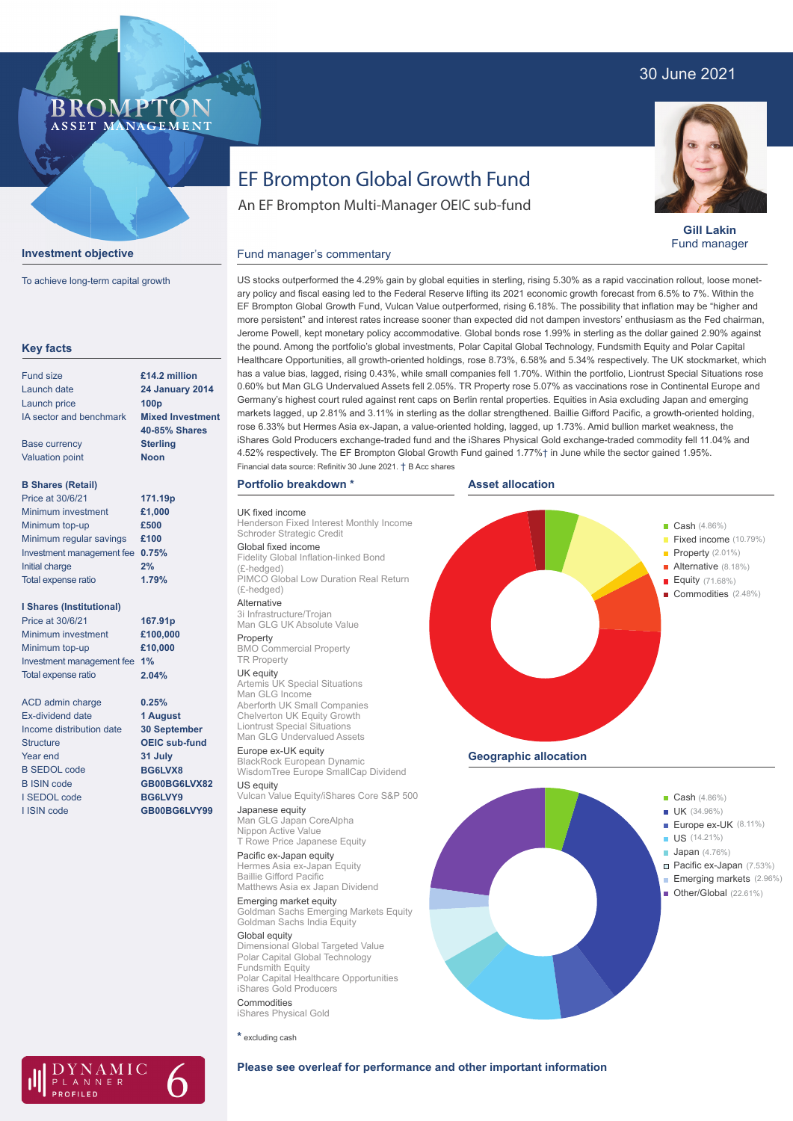## 30 June 2021

### **BROMPTO** ASSET MANAGEMENT



To achieve long-term capital growth

| <b>Key facts</b>                |                                          |
|---------------------------------|------------------------------------------|
| <b>Fund size</b>                | £14.2 million                            |
| Launch date                     | <b>24 January 2014</b>                   |
| Launch price                    | 100 <sub>D</sub>                         |
| IA sector and benchmark         | <b>Mixed Investment</b><br>40-85% Shares |
| <b>Base currency</b>            | <b>Sterling</b>                          |
| <b>Valuation point</b>          | <b>Noon</b>                              |
| <b>B Shares (Retail)</b>        |                                          |
| Price at 30/6/21                | 171.19p                                  |
| Minimum investment              | £1,000                                   |
| Minimum top-up                  | £500                                     |
| Minimum regular savings         | £100                                     |
| Investment management fee       | 0.75%                                    |
| Initial charge                  | 2%                                       |
| Total expense ratio             | 1.79%                                    |
| <b>I Shares (Institutional)</b> |                                          |
| Price at 30/6/21                | 167.91p                                  |
| Minimum investment              | £100,000                                 |
| Minimum top-up                  | £10,000                                  |
| Investment management fee       | 1%                                       |
| Total expense ratio             | 2.04%                                    |
| ACD admin charge                | 0.25%                                    |
| <b>Ex-dividend date</b>         | 1 August                                 |
| Income distribution date        | <b>30 September</b>                      |
| <b>Structure</b>                | <b>OEIC sub-fund</b>                     |
| Year end                        | 31 July                                  |
| <b>B SEDOL code</b>             | BG6LVX8                                  |
| <b>B ISIN code</b>              | GB00BG6LVX82                             |
| I SEDOL code                    | BG6LVY9                                  |
| <b>I ISIN code</b>              | GB00BG6LVY99                             |
|                                 |                                          |
|                                 |                                          |

NAMIC

LANNER

# EF Brompton Global Growth Fund

An EF Brompton Multi-Manager OEIC sub-fund



**Gill Lakin** Fund manager

Fixed income (10.79%)

Alternative (8.18%) Equity (71.68%) Commodities (2.48%)

#### Fund manager's commentary

US stocks outperformed the 4.29% gain by global equities in sterling, rising 5.30% as a rapid vaccination rollout, loose monetary policy and fiscal easing led to the Federal Reserve lifting its 2021 economic growth forecast from 6.5% to 7%. Within the EF Brompton Global Growth Fund, Vulcan Value outperformed, rising 6.18%. The possibility that inflation may be "higher and more persistent" and interest rates increase sooner than expected did not dampen investors' enthusiasm as the Fed chairman, Jerome Powell, kept monetary policy accommodative. Global bonds rose 1.99% in sterling as the dollar gained 2.90% against the pound. Among the portfolio's global investments, Polar Capital Global Technology, Fundsmith Equity and Polar Capital Healthcare Opportunities, all growth-oriented holdings, rose 8.73%, 6.58% and 5.34% respectively. The UK stockmarket, which has a value bias, lagged, rising 0.43%, while small companies fell 1.70%. Within the portfolio, Liontrust Special Situations rose 0.60% but Man GLG Undervalued Assets fell 2.05%. TR Property rose 5.07% as vaccinations rose in Continental Europe and Germany's highest court ruled against rent caps on Berlin rental properties. Equities in Asia excluding Japan and emerging markets lagged, up 2.81% and 3.11% in sterling as the dollar strengthened. Baillie Gifford Pacific, a growth-oriented holding, rose 6.33% but Hermes Asia ex-Japan, a value-oriented holding, lagged, up 1.73%. Amid bullion market weakness, the iShares Gold Producers exchange-traded fund and the iShares Physical Gold exchange-traded commodity fell 11.04% and 4.52% respectively. The EF Brompton Global Growth Fund gained 1.77%† in June while the sector gained 1.95%. Financial data source: Refinitiv 30 June 2021. † B Acc shares

**Asset allocation**

#### **Portfolio breakdown \***

UK fixed income Henderson Fixed Interest Monthly Income

Schroder Strategic Credit Global fixed income Fidelity Global Inflation-linked Bond (£-hedged) PIMCO Global Low Duration Real Return

(£-hedged) Alternative

3i Infrastructure/Trojan Man GLG UK Absolute Value

Property BMO Commercial Property

TR Property

**UK equity**<br>Artemis UK Special Situations Man GLG Income Aberforth UK Small Companies Chelverton UK Equity Growth Liontrust Special Situations Man GLG Undervalued Assets

Europe ex-UK equity BlackRock European Dynamic WisdomTree Europe SmallCap Dividend US equity

Vulcan Value Equity/iShares Core S&P 500 Japanese equity

Man GLG Japan CoreAlpha Nippon Active Value T Rowe Price Japanese Equity

Pacific ex-Japan equity Hermes Asia ex-Japan Equity Baillie Gifford Pacific Matthews Asia ex Japan Dividend

Emerging market equity Goldman Sachs Emerging Markets Equity Goldman Sachs India Equity

Global equity Dimensional Global Targeted Value Polar Capital Global Technology Fundsmith Equity Polar Capital Healthcare Opportunities iShares Gold Producers Commodities

iShares Physical Gold

**\*** excluding cash



**Geographic allocation**